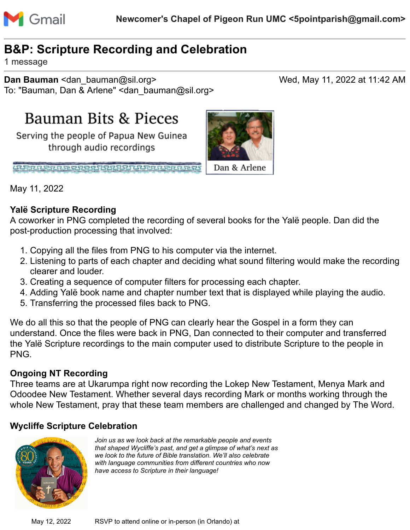

# **B&P: Scripture Recording and Celebration**

1 message

**Dan Bauman** <dan bauman@sil.org> Wed, May 11, 2022 at 11:42 AM To: "Bauman, Dan & Arlene" <dan\_bauman@sil.org>

Bauman Bits & Pieces

Serving the people of Papua New Guinea through audio recordings

<u>unan paramentan di seria paramentan di seria paramentan di seria paramentan di seria paramentan di seria para</u>



May 11, 2022

### **Yalë Scripture Recording**

A coworker in PNG completed the recording of several books for the Yalë people. Dan did the post-production processing that involved:

- 1. Copying all the files from PNG to his computer via the internet.
- 2. Listening to parts of each chapter and deciding what sound filtering would make the recording clearer and louder.
- 3. Creating a sequence of computer filters for processing each chapter.
- 4. Adding Yalë book name and chapter number text that is displayed while playing the audio.
- 5. Transferring the processed files back to PNG.

We do all this so that the people of PNG can clearly hear the Gospel in a form they can understand. Once the files were back in PNG, Dan connected to their computer and transferred the Yalë Scripture recordings to the main computer used to distribute Scripture to the people in PNG.

#### **Ongoing NT Recording**

Three teams are at Ukarumpa right now recording the Lokep New Testament, Menya Mark and Odoodee New Testament. Whether several days recording Mark or months working through the whole New Testament, pray that these team members are challenged and changed by The Word.

### **Wycliffe Scripture Celebration**



*Join us as we look back at the remarkable people and events that shaped Wycliffe's past, and get a glimpse of what's next as we look to the future of Bible translation. We'll also celebrate with language communities from different countries who now have access to Scripture in their language!*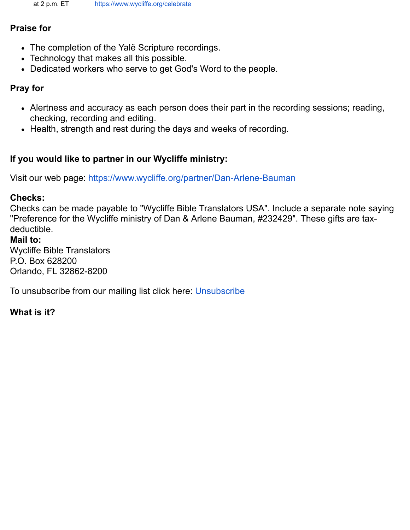### **Praise for**

- The completion of the Yalë Scripture recordings.
- Technology that makes all this possible.
- Dedicated workers who serve to get God's Word to the people.

# **Pray for**

- Alertness and accuracy as each person does their part in the recording sessions; reading, checking, recording and editing.
- Health, strength and rest during the days and weeks of recording.

# **If you would like to partner in our Wycliffe ministry:**

Visit our web page: <https://www.wycliffe.org/partner/Dan-Arlene-Bauman>

### **Checks:**

Checks can be made payable to "Wycliffe Bible Translators USA". Include a separate note saying "Preference for the Wycliffe ministry of Dan & Arlene Bauman, #232429". These gifts are taxdeductible.

### **Mail to:**

Wycliffe Bible Translators P.O. Box 628200 Orlando, FL 32862-8200

To unsubscribe from our mailing list click here: [Unsubscribe](mailto:dan_bauman@sil.org?subject=REMOVE%20from%20Bauman%20Bits%20and%20Pieces%20email%20list&body=It%20helps%20us%20if%20you%20provide%20the%20following%20information.%0D%0AName:%0D%0AEmail:)

# **What is it?**